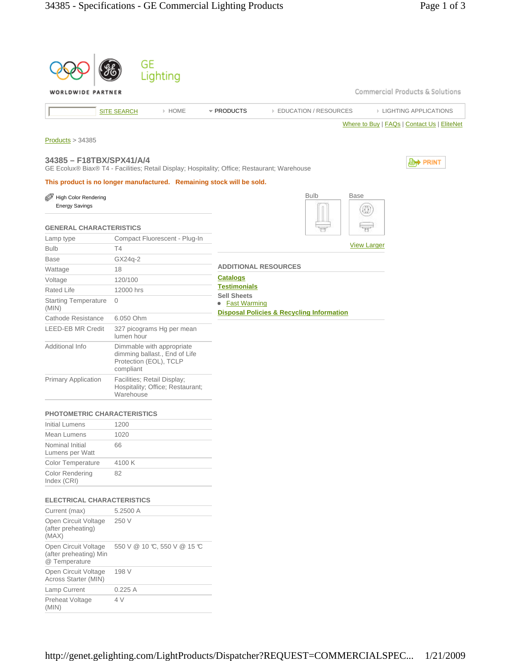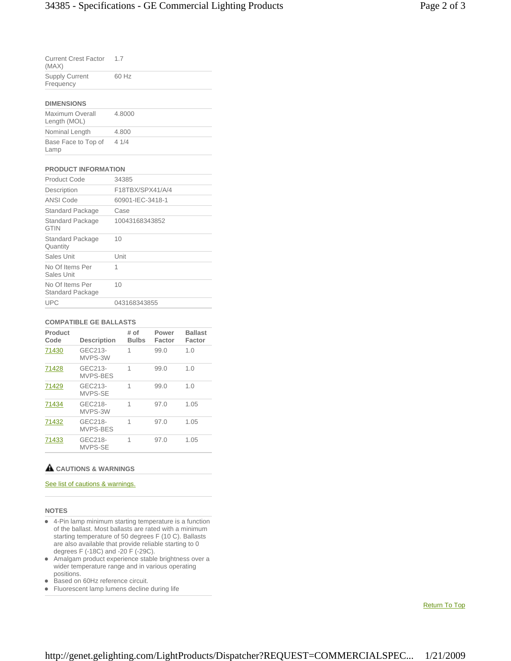| <b>Current Crest Factor</b><br>(MAX) | 17    |
|--------------------------------------|-------|
| <b>Supply Current</b><br>Frequency   | 60 Hz |

### **DIMENSIONS**

| Maximum Overall<br>Length (MOL) | 4.8000 |
|---------------------------------|--------|
| Nominal Length                  | 4.800  |
| Base Face to Top of<br>Lamp     | 41/4   |

## **PRODUCT INFORMATION**

| <b>Product Code</b>                    | 34385            |
|----------------------------------------|------------------|
| Description                            | F18TBX/SPX41/A/4 |
| ANSI Code                              | 60901-IEC-3418-1 |
| Standard Package                       | Case             |
| <b>Standard Package</b><br><b>GTIN</b> | 10043168343852   |
| Standard Package<br>Quantity           | 10               |
| Sales Unit                             | Unit             |
| No Of Items Per<br>Sales Unit          | 1                |
| No Of Items Per<br>Standard Package    | 10               |
| <b>UPC</b>                             | 043168343855     |

## **COMPATIBLE GE BALLASTS**

| Product<br>Code | <b>Description</b>  | # of<br><b>Bulbs</b> | Power<br>Factor | <b>Ballast</b><br>Factor |
|-----------------|---------------------|----------------------|-----------------|--------------------------|
| 71430           | GEC213-<br>MVPS-3W  | 1                    | 99.0            | 1.0                      |
| 71428           | GEC213-<br>MVPS-BES | 1                    | 99.0            | 1.0                      |
| 71429           | GEC213-<br>MVPS-SE  | 1                    | 99.0            | 1.0                      |
| 71434           | GEC218-<br>MVPS-3W  | 1                    | 97.0            | 1.05                     |
| 71432           | GEC218-<br>MVPS-BES | 1                    | 97.0            | 1.05                     |
| 71433           | GEC218-<br>MVPS-SE  | 1                    | 97.0            | 1.05                     |

# **CAUTIONS & WARNINGS**

# See list of cautions & warnings.

#### **NOTES**

- 4-Pin lamp minimum starting temperature is a function of the ballast. Most ballasts are rated with a minimum starting temperature of 50 degrees F (10 C). Ballasts are also available that provide reliable starting to 0 degrees F (-18C) and -20 F (-29C).
- Amalgam product experience stable brightness over a wider temperature range and in various operating positions.
- Based on 60Hz reference circuit.
- Fluorescent lamp lumens decline during life

Return To Top